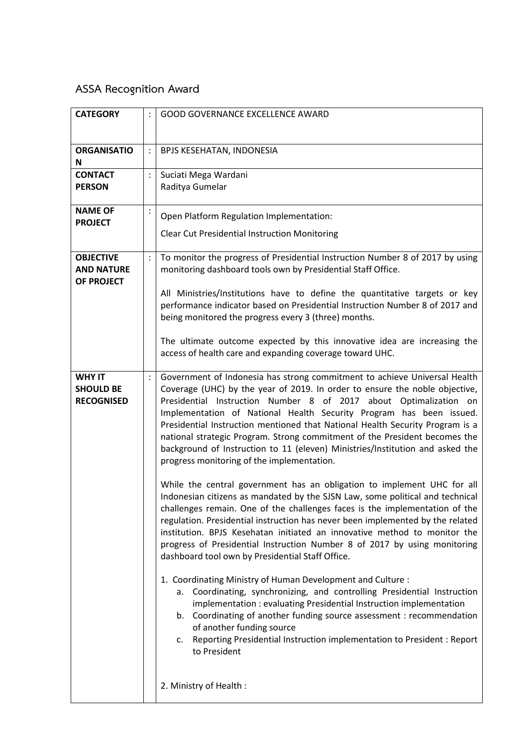## **ASSA Recognition Award**

| <b>CATEGORY</b>                 |                | <b>GOOD GOVERNANCE EXCELLENCE AWARD</b>                                                                                                                       |
|---------------------------------|----------------|---------------------------------------------------------------------------------------------------------------------------------------------------------------|
|                                 |                |                                                                                                                                                               |
| <b>ORGANISATIO</b>              | $\ddot{\cdot}$ | BPJS KESEHATAN, INDONESIA                                                                                                                                     |
| N                               |                |                                                                                                                                                               |
| <b>CONTACT</b>                  | $\ddot{\cdot}$ | Suciati Mega Wardani                                                                                                                                          |
| <b>PERSON</b>                   |                | Raditya Gumelar                                                                                                                                               |
| <b>NAME OF</b>                  | $\ddot{\cdot}$ |                                                                                                                                                               |
| <b>PROJECT</b>                  |                | Open Platform Regulation Implementation:                                                                                                                      |
|                                 |                | <b>Clear Cut Presidential Instruction Monitoring</b>                                                                                                          |
| <b>OBJECTIVE</b>                |                |                                                                                                                                                               |
| <b>AND NATURE</b><br>OF PROJECT | $\ddot{\cdot}$ | To monitor the progress of Presidential Instruction Number 8 of 2017 by using<br>monitoring dashboard tools own by Presidential Staff Office.                 |
|                                 |                | All Ministries/Institutions have to define the quantitative targets or key                                                                                    |
|                                 |                | performance indicator based on Presidential Instruction Number 8 of 2017 and<br>being monitored the progress every 3 (three) months.                          |
|                                 |                |                                                                                                                                                               |
|                                 |                | The ultimate outcome expected by this innovative idea are increasing the<br>access of health care and expanding coverage toward UHC.                          |
|                                 |                |                                                                                                                                                               |
| <b>WHY IT</b>                   |                | Government of Indonesia has strong commitment to achieve Universal Health                                                                                     |
| <b>SHOULD BE</b>                |                | Coverage (UHC) by the year of 2019. In order to ensure the noble objective,                                                                                   |
| <b>RECOGNISED</b>               |                | Presidential Instruction Number 8 of 2017 about Optimalization on<br>Implementation of National Health Security Program has been issued.                      |
|                                 |                | Presidential Instruction mentioned that National Health Security Program is a                                                                                 |
|                                 |                | national strategic Program. Strong commitment of the President becomes the                                                                                    |
|                                 |                | background of Instruction to 11 (eleven) Ministries/Institution and asked the<br>progress monitoring of the implementation.                                   |
|                                 |                |                                                                                                                                                               |
|                                 |                | While the central government has an obligation to implement UHC for all                                                                                       |
|                                 |                | Indonesian citizens as mandated by the SJSN Law, some political and technical                                                                                 |
|                                 |                | challenges remain. One of the challenges faces is the implementation of the<br>regulation. Presidential instruction has never been implemented by the related |
|                                 |                | institution. BPJS Kesehatan initiated an innovative method to monitor the                                                                                     |
|                                 |                | progress of Presidential Instruction Number 8 of 2017 by using monitoring                                                                                     |
|                                 |                | dashboard tool own by Presidential Staff Office.                                                                                                              |
|                                 |                | 1. Coordinating Ministry of Human Development and Culture:                                                                                                    |
|                                 |                | Coordinating, synchronizing, and controlling Presidential Instruction<br>а.                                                                                   |
|                                 |                | implementation: evaluating Presidential Instruction implementation                                                                                            |
|                                 |                | b. Coordinating of another funding source assessment : recommendation<br>of another funding source                                                            |
|                                 |                | Reporting Presidential Instruction implementation to President : Report<br>c.                                                                                 |
|                                 |                | to President                                                                                                                                                  |
|                                 |                |                                                                                                                                                               |
|                                 |                | 2. Ministry of Health:                                                                                                                                        |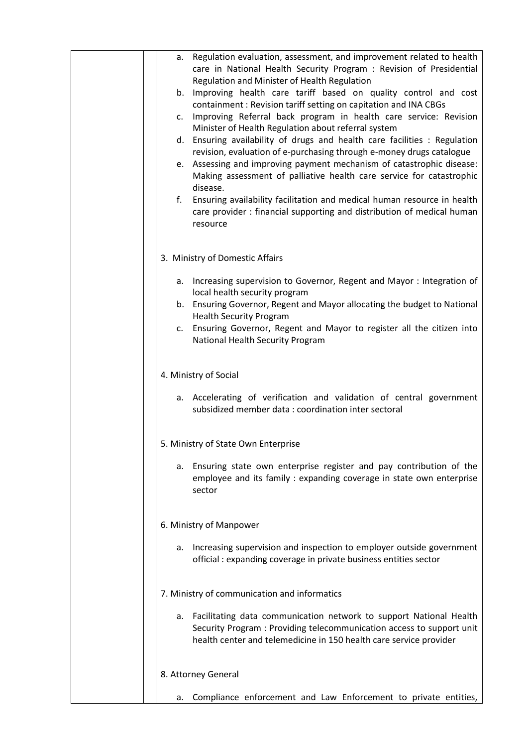| Regulation evaluation, assessment, and improvement related to health<br>а.<br>care in National Health Security Program : Revision of Presidential                                                                       |
|-------------------------------------------------------------------------------------------------------------------------------------------------------------------------------------------------------------------------|
| Regulation and Minister of Health Regulation<br>Improving health care tariff based on quality control and cost<br>b.                                                                                                    |
| containment: Revision tariff setting on capitation and INA CBGs<br>Improving Referral back program in health care service: Revision<br>c.                                                                               |
| Minister of Health Regulation about referral system<br>Ensuring availability of drugs and health care facilities : Regulation<br>d.                                                                                     |
| revision, evaluation of e-purchasing through e-money drugs catalogue<br>Assessing and improving payment mechanism of catastrophic disease:<br>e.                                                                        |
| Making assessment of palliative health care service for catastrophic<br>disease.                                                                                                                                        |
| f.<br>Ensuring availability facilitation and medical human resource in health<br>care provider : financial supporting and distribution of medical human<br>resource                                                     |
| 3. Ministry of Domestic Affairs                                                                                                                                                                                         |
| Increasing supervision to Governor, Regent and Mayor : Integration of<br>а.<br>local health security program                                                                                                            |
| b. Ensuring Governor, Regent and Mayor allocating the budget to National<br><b>Health Security Program</b>                                                                                                              |
| Ensuring Governor, Regent and Mayor to register all the citizen into<br>c.<br>National Health Security Program                                                                                                          |
| 4. Ministry of Social                                                                                                                                                                                                   |
| a. Accelerating of verification and validation of central government<br>subsidized member data: coordination inter sectoral                                                                                             |
| 5. Ministry of State Own Enterprise                                                                                                                                                                                     |
| a. Ensuring state own enterprise register and pay contribution of the<br>employee and its family: expanding coverage in state own enterprise<br>sector                                                                  |
| 6. Ministry of Manpower                                                                                                                                                                                                 |
| Increasing supervision and inspection to employer outside government<br>а.<br>official: expanding coverage in private business entities sector                                                                          |
| 7. Ministry of communication and informatics                                                                                                                                                                            |
| Facilitating data communication network to support National Health<br>а.<br>Security Program : Providing telecommunication access to support unit<br>health center and telemedicine in 150 health care service provider |
| 8. Attorney General                                                                                                                                                                                                     |
| Compliance enforcement and Law Enforcement to private entities,<br>a.                                                                                                                                                   |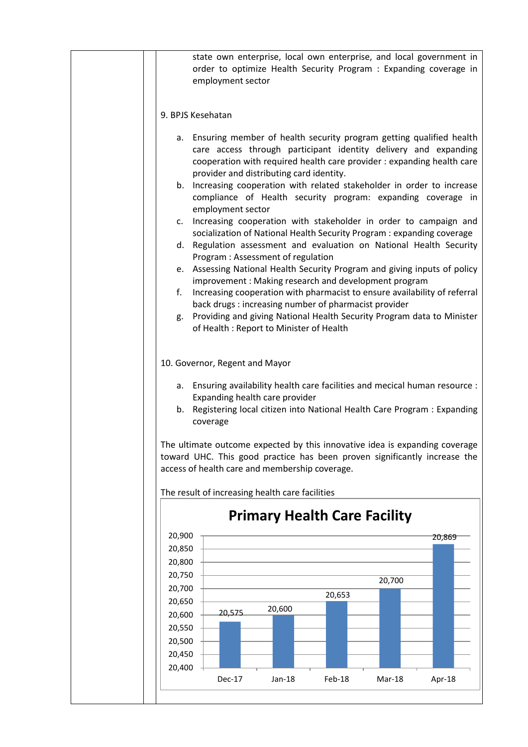| state own enterprise, local own enterprise, and local government in<br>order to optimize Health Security Program : Expanding coverage in<br>employment sector                                                                                                                                                                                                                                                                                                                                                                                                                                                                                                                                                                                                                                                                                                                                                                 |
|-------------------------------------------------------------------------------------------------------------------------------------------------------------------------------------------------------------------------------------------------------------------------------------------------------------------------------------------------------------------------------------------------------------------------------------------------------------------------------------------------------------------------------------------------------------------------------------------------------------------------------------------------------------------------------------------------------------------------------------------------------------------------------------------------------------------------------------------------------------------------------------------------------------------------------|
| 9. BPJS Kesehatan                                                                                                                                                                                                                                                                                                                                                                                                                                                                                                                                                                                                                                                                                                                                                                                                                                                                                                             |
| a. Ensuring member of health security program getting qualified health<br>care access through participant identity delivery and expanding<br>cooperation with required health care provider : expanding health care<br>provider and distributing card identity.<br>Increasing cooperation with related stakeholder in order to increase<br>b.<br>compliance of Health security program: expanding coverage in<br>employment sector<br>Increasing cooperation with stakeholder in order to campaign and<br>C.<br>socialization of National Health Security Program : expanding coverage<br>Regulation assessment and evaluation on National Health Security<br>d.<br>Program: Assessment of regulation<br>e. Assessing National Health Security Program and giving inputs of policy<br>improvement: Making research and development program<br>f.<br>Increasing cooperation with pharmacist to ensure availability of referral |
| back drugs : increasing number of pharmacist provider<br>Providing and giving National Health Security Program data to Minister<br>g.                                                                                                                                                                                                                                                                                                                                                                                                                                                                                                                                                                                                                                                                                                                                                                                         |
| of Health: Report to Minister of Health                                                                                                                                                                                                                                                                                                                                                                                                                                                                                                                                                                                                                                                                                                                                                                                                                                                                                       |
| 10. Governor, Regent and Mayor<br>Ensuring availability health care facilities and mecical human resource :<br>а.<br>Expanding health care provider<br>Registering local citizen into National Health Care Program : Expanding<br>b.<br>coverage<br>The ultimate outcome expected by this innovative idea is expanding coverage<br>toward UHC. This good practice has been proven significantly increase the<br>access of health care and membership coverage.<br>The result of increasing health care facilities                                                                                                                                                                                                                                                                                                                                                                                                             |
| <b>Primary Health Care Facility</b>                                                                                                                                                                                                                                                                                                                                                                                                                                                                                                                                                                                                                                                                                                                                                                                                                                                                                           |
| 20,900<br>20,869                                                                                                                                                                                                                                                                                                                                                                                                                                                                                                                                                                                                                                                                                                                                                                                                                                                                                                              |
| 20,850                                                                                                                                                                                                                                                                                                                                                                                                                                                                                                                                                                                                                                                                                                                                                                                                                                                                                                                        |
| 20,800                                                                                                                                                                                                                                                                                                                                                                                                                                                                                                                                                                                                                                                                                                                                                                                                                                                                                                                        |
| 20,750<br>20,700                                                                                                                                                                                                                                                                                                                                                                                                                                                                                                                                                                                                                                                                                                                                                                                                                                                                                                              |
| 20,700<br>20,653                                                                                                                                                                                                                                                                                                                                                                                                                                                                                                                                                                                                                                                                                                                                                                                                                                                                                                              |
| 20,650<br>20,600                                                                                                                                                                                                                                                                                                                                                                                                                                                                                                                                                                                                                                                                                                                                                                                                                                                                                                              |
| 20,575<br>20,600                                                                                                                                                                                                                                                                                                                                                                                                                                                                                                                                                                                                                                                                                                                                                                                                                                                                                                              |
| 20,550                                                                                                                                                                                                                                                                                                                                                                                                                                                                                                                                                                                                                                                                                                                                                                                                                                                                                                                        |
| 20,500                                                                                                                                                                                                                                                                                                                                                                                                                                                                                                                                                                                                                                                                                                                                                                                                                                                                                                                        |
| 20,450                                                                                                                                                                                                                                                                                                                                                                                                                                                                                                                                                                                                                                                                                                                                                                                                                                                                                                                        |
| 20,400<br>Dec-17<br>Feb-18<br>Jan-18<br>Mar-18<br>Apr-18                                                                                                                                                                                                                                                                                                                                                                                                                                                                                                                                                                                                                                                                                                                                                                                                                                                                      |
|                                                                                                                                                                                                                                                                                                                                                                                                                                                                                                                                                                                                                                                                                                                                                                                                                                                                                                                               |
|                                                                                                                                                                                                                                                                                                                                                                                                                                                                                                                                                                                                                                                                                                                                                                                                                                                                                                                               |